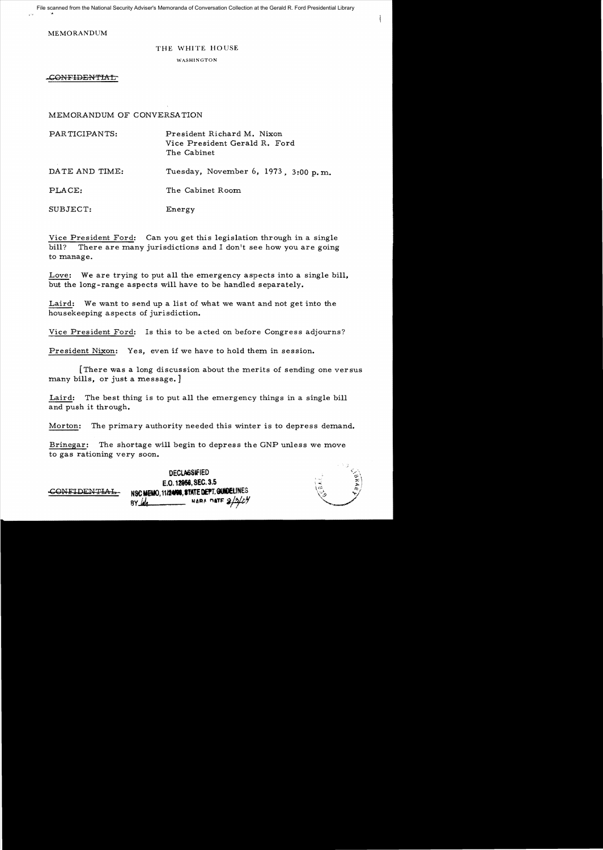File scanned from the National Security Adviser's Memoranda of Conversation Collection at the Gerald R. Ford Presidential Library

MEMORANDUM

## THE WHITE HOUSE

WASHINGTON

-CONFIDENTIAL

MEMORANDUM OF CONVERSA TION

PARTICIPANTS: President Richard M. Nixon Vice President Gerald R. Ford The Cabinet DATE AND TIME: Tuesday, November 6, 1973, 3:00 p.m. PLACE: The Cabinet Room SUBJECT: Energy

Vice President Ford: Can you get this legislation through in a single bill? There are many jurisdictions and I don't see how you are going to manage.

Love: We are trying to put all the emergency aspects into a single bill, but the long-range aspects will have to be handled separately.

Laird: We want to send up a list of what we want and not get into the housekeeping aspects of jurisdiction.

Vice President Ford: Is this to be acted on before Congress adjourns?

President Nixon: Yes, even if we have to hold them in session.

[There was a long discussion about the merits of sending one versus many bills, or just a message. ]

Laird: The best thing is to put all the emergency things in a single bill and push it through.

Morton: The primary authority needed this winter is to depress demand.

Brinegar: The shortage will begin to depress the GNP unless we move to gas rationing very soon.

> DECLASSIFIED  $E.$ O. 12956, SEC. 3.5

BY 44 **MARA** MARA DATE

**CONFIDENTIAL** NSCHEMO, 11/24/98, STATE DEPT, GUIDELINES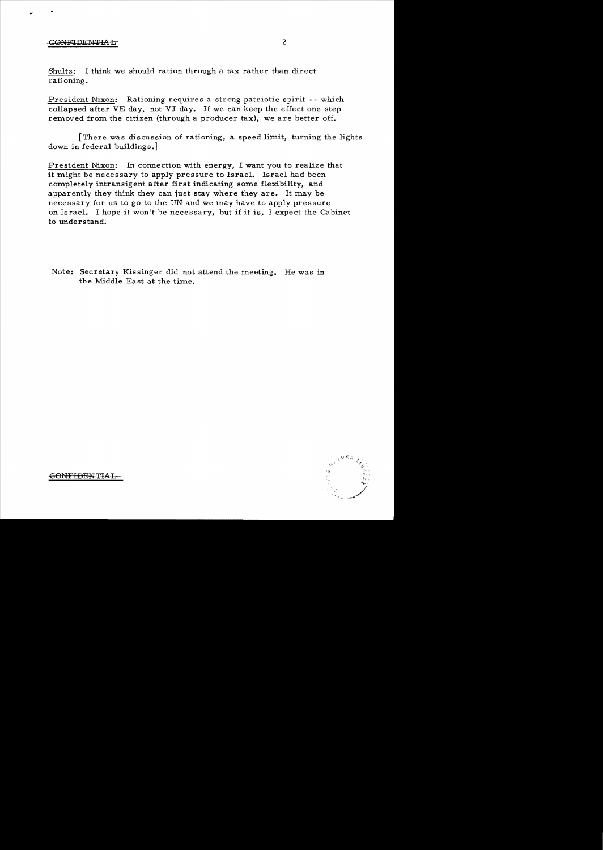## CONFIDENTIAL

Shultz: I think we should ration through a tax rather than direct rationing.

President Nixon: Rationing requires a strong patriotic spirit -- which collapsed after VE day, not VJ day. If we can keep the effect one step removed from the citizen (through a producer tax), we are better off.

[There was discussion of rationing, a speed limit, turning the lights down in federal buildings.]

President Nixon: In connection with energy, I want you to realize that it might be necessary to apply pressure to Israel. Israel had been completely intransigent after first indicating some flexibility, and apparently they think they can just stay where they are. It may be necessary for us to go to the UN and we may have to apply pressure on Israel. I hope it won't be necessary, but if it is, I expect the Cabinet to understand.

Note: Secretary Kissinger did not attend the meeting. He was in the Middle East at the time.



-GONFIDENTIAL